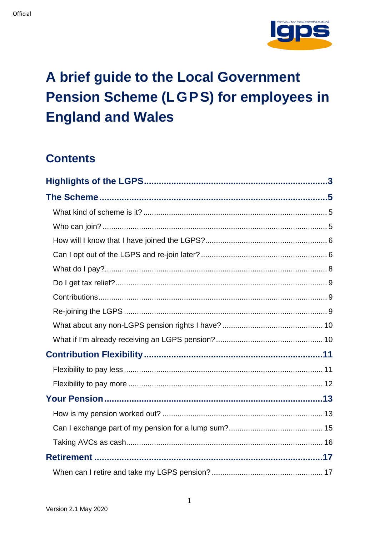

# A brief guide to the Local Government **Pension Scheme (LGPS) for employees in England and Wales**

# **Contents**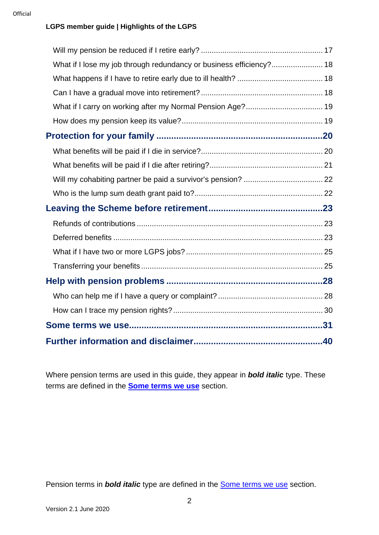#### **LGPS member guide | Highlights of the LGPS**

| What if I lose my job through redundancy or business efficiency? 18 |  |
|---------------------------------------------------------------------|--|
|                                                                     |  |
|                                                                     |  |
| What if I carry on working after my Normal Pension Age? 19          |  |
|                                                                     |  |
|                                                                     |  |
|                                                                     |  |
|                                                                     |  |
|                                                                     |  |
|                                                                     |  |
|                                                                     |  |
|                                                                     |  |
|                                                                     |  |
|                                                                     |  |
|                                                                     |  |
|                                                                     |  |
|                                                                     |  |
|                                                                     |  |
|                                                                     |  |
|                                                                     |  |

<span id="page-1-0"></span>Where pension terms are used in this guide, they appear in *bold italic* type. These terms are defined in the **[Some terms we use](#page-30-0)** section.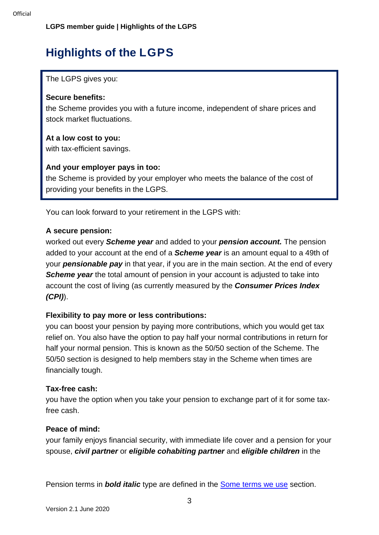# **Highlights of the LGPS**

The LGPS gives you:

#### **Secure benefits:**

the Scheme provides you with a future income, independent of share prices and stock market fluctuations.

#### **At a low cost to you:**

with tax-efficient savings.

#### **And your employer pays in too:**

the Scheme is provided by your employer who meets the balance of the cost of providing your benefits in the LGPS.

You can look forward to your retirement in the LGPS with:

#### **A secure pension:**

worked out every *Scheme year* and added to your *pension account.* The pension added to your account at the end of a *Scheme year* is an amount equal to a 49th of your *pensionable pay* in that year, if you are in the main section. At the end of every **Scheme year** the total amount of pension in your account is adjusted to take into account the cost of living (as currently measured by the *Consumer Prices Index (CPI)*).

#### **Flexibility to pay more or less contributions:**

you can boost your pension by paying more contributions, which you would get tax relief on. You also have the option to pay half your normal contributions in return for half your normal pension. This is known as the 50/50 section of the Scheme. The 50/50 section is designed to help members stay in the Scheme when times are financially tough.

#### **Tax-free cash:**

you have the option when you take your pension to exchange part of it for some taxfree cash.

#### **Peace of mind:**

your family enjoys financial security, with immediate life cover and a pension for your spouse, *civil partner* or *eligible cohabiting partner* and *eligible children* in the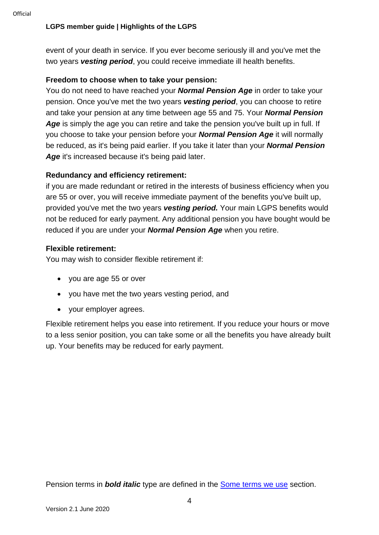#### **LGPS member guide | Highlights of the LGPS**

event of your death in service. If you ever become seriously ill and you've met the two years *vesting period*, you could receive immediate ill health benefits.

#### **Freedom to choose when to take your pension:**

You do not need to have reached your *Normal Pension Age* in order to take your pension. Once you've met the two years *vesting period*, you can choose to retire and take your pension at any time between age 55 and 75. Your *Normal Pension*  Age is simply the age you can retire and take the pension you've built up in full. If you choose to take your pension before your *Normal Pension Age* it will normally be reduced, as it's being paid earlier. If you take it later than your *Normal Pension*  Age it's increased because it's being paid later.

#### **Redundancy and efficiency retirement:**

if you are made redundant or retired in the interests of business efficiency when you are 55 or over, you will receive immediate payment of the benefits you've built up, provided you've met the two years *vesting period.* Your main LGPS benefits would not be reduced for early payment. Any additional pension you have bought would be reduced if you are under your *Normal Pension Age* when you retire.

#### **Flexible retirement:**

You may wish to consider flexible retirement if:

- you are age 55 or over
- you have met the two years vesting period, and
- your employer agrees.

Flexible retirement helps you ease into retirement. If you reduce your hours or move to a less senior position, you can take some or all the benefits you have already built up. Your benefits may be reduced for early payment.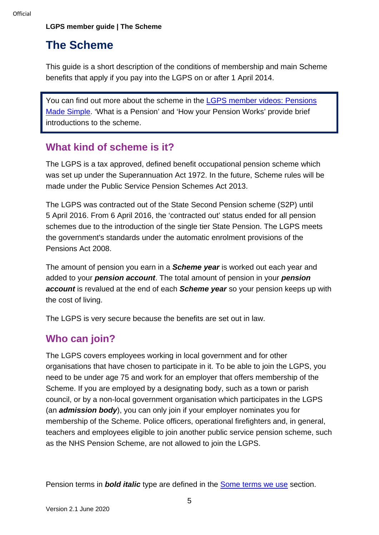# <span id="page-4-0"></span>**The Scheme**

This guide is a short description of the conditions of membership and main Scheme benefits that apply if you pay into the LGPS on or after 1 April 2014.

You can find out more about the scheme in the [LGPS member videos: Pensions](https://www.lgpsmember.org/more/Videos.php)  [Made Simple.](https://www.lgpsmember.org/more/Videos.php) 'What is a Pension' and 'How your Pension Works' provide brief introductions to the scheme.

### <span id="page-4-1"></span>**What kind of scheme is it?**

The LGPS is a tax approved, defined benefit occupational pension scheme which was set up under the Superannuation Act 1972. In the future, Scheme rules will be made under the Public Service Pension Schemes Act 2013.

The LGPS was contracted out of the State Second Pension scheme (S2P) until 5 April 2016. From 6 April 2016, the 'contracted out' status ended for all pension schemes due to the introduction of the single tier State Pension. The LGPS meets the government's standards under the automatic enrolment provisions of the Pensions Act 2008.

The amount of pension you earn in a *Scheme year* is worked out each year and added to your *pension account*. The total amount of pension in your *pension account* is revalued at the end of each *Scheme year* so your pension keeps up with the cost of living.

The LGPS is very secure because the benefits are set out in law.

# <span id="page-4-2"></span>**Who can join?**

The LGPS covers employees working in local government and for other organisations that have chosen to participate in it. To be able to join the LGPS, you need to be under age 75 and work for an employer that offers membership of the Scheme. If you are employed by a designating body, such as a town or parish council, or by a non-local government organisation which participates in the LGPS (an *admission body*), you can only join if your employer nominates you for membership of the Scheme. Police officers, operational firefighters and, in general, teachers and employees eligible to join another public service pension scheme, such as the NHS Pension Scheme, are not allowed to join the LGPS.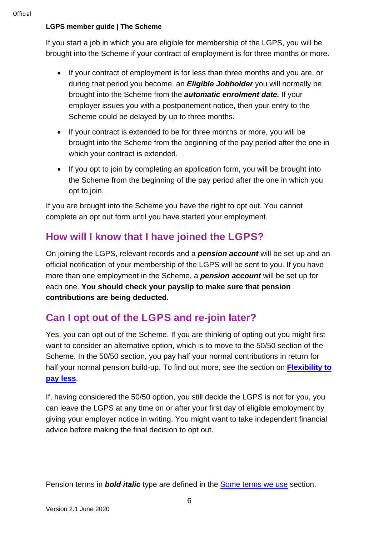If you start a job in which you are eligible for membership of the LGPS, you will be brought into the Scheme if your contract of employment is for three months or more.

- If your contract of employment is for less than three months and you are, or during that period you become, an *Eligible Jobholder* you will normally be brought into the Scheme from the *automatic enrolment date.* If your employer issues you with a postponement notice, then your entry to the Scheme could be delayed by up to three months.
- If your contract is extended to be for three months or more, you will be brought into the Scheme from the beginning of the pay period after the one in which your contract is extended.
- If you opt to join by completing an application form, you will be brought into the Scheme from the beginning of the pay period after the one in which you opt to join.

If you are brought into the Scheme you have the right to opt out. You cannot complete an opt out form until you have started your employment.

## <span id="page-5-0"></span>**How will I know that I have joined the LGPS?**

On joining the LGPS, relevant records and a *pension account* will be set up and an official notification of your membership of the LGPS will be sent to you. If you have more than one employment in the Scheme, a *pension account* will be set up for each one. **You should check your payslip to make sure that pension contributions are being deducted.**

# <span id="page-5-1"></span>**Can I opt out of the LGPS and re-join later?**

Yes, you can opt out of the Scheme. If you are thinking of opting out you might first want to consider an alternative option, which is to move to the 50/50 section of the Scheme. In the 50/50 section, you pay half your normal contributions in return for half your normal pension build-up. To find out more, see the section on **[Flexibility to](#page-10-2)  [pay less](#page-10-2)**.

If, having considered the 50/50 option, you still decide the LGPS is not for you, you can leave the LGPS at any time on or after your first day of eligible employment by giving your employer notice in writing. You might want to take independent financial advice before making the final decision to opt out.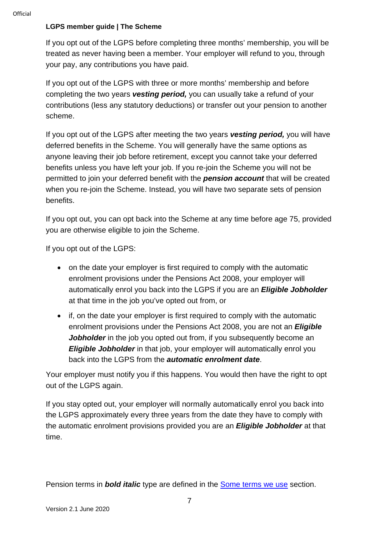If you opt out of the LGPS before completing three months' membership, you will be treated as never having been a member. Your employer will refund to you, through your pay, any contributions you have paid.

If you opt out of the LGPS with three or more months' membership and before completing the two years *vesting period,* you can usually take a refund of your contributions (less any statutory deductions) or transfer out your pension to another scheme.

If you opt out of the LGPS after meeting the two years *vesting period,* you will have deferred benefits in the Scheme. You will generally have the same options as anyone leaving their job before retirement, except you cannot take your deferred benefits unless you have left your job. If you re-join the Scheme you will not be permitted to join your deferred benefit with the *pension account* that will be created when you re-join the Scheme. Instead, you will have two separate sets of pension benefits.

If you opt out, you can opt back into the Scheme at any time before age 75, provided you are otherwise eligible to join the Scheme.

If you opt out of the LGPS:

- on the date your employer is first required to comply with the automatic enrolment provisions under the Pensions Act 2008, your employer will automatically enrol you back into the LGPS if you are an *Eligible Jobholder* at that time in the job you've opted out from, or
- if, on the date your employer is first required to comply with the automatic enrolment provisions under the Pensions Act 2008, you are not an *Eligible Jobholder* in the job you opted out from, if you subsequently become an **Eligible Jobholder** in that job, your employer will automatically enrol you back into the LGPS from the *automatic enrolment date*.

Your employer must notify you if this happens. You would then have the right to opt out of the LGPS again.

If you stay opted out, your employer will normally automatically enrol you back into the LGPS approximately every three years from the date they have to comply with the automatic enrolment provisions provided you are an *Eligible Jobholder* at that time.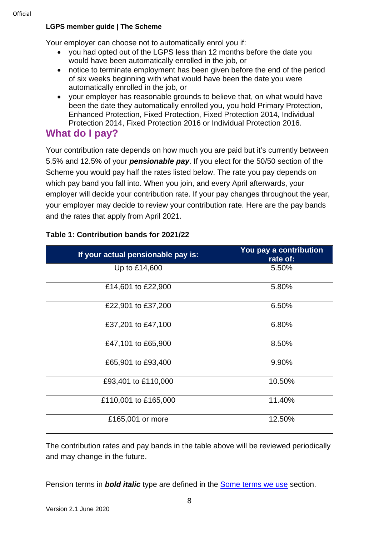Your employer can choose not to automatically enrol you if:

- you had opted out of the LGPS less than 12 months before the date you would have been automatically enrolled in the job, or
- notice to terminate employment has been given before the end of the period of six weeks beginning with what would have been the date you were automatically enrolled in the job, or
- your employer has reasonable grounds to believe that, on what would have been the date they automatically enrolled you, you hold Primary Protection, Enhanced Protection, Fixed Protection, Fixed Protection 2014, Individual Protection 2014, Fixed Protection 2016 or Individual Protection 2016.

# <span id="page-7-0"></span>**What do I pay?**

Your contribution rate depends on how much you are paid but it's currently between 5.5% and 12.5% of your *pensionable pay*. If you elect for the 50/50 section of the Scheme you would pay half the rates listed below. The rate you pay depends on which pay band you fall into. When you join, and every April afterwards, your employer will decide your contribution rate. If your pay changes throughout the year, your employer may decide to review your contribution rate. Here are the pay bands and the rates that apply from April 2021.

| If your actual pensionable pay is: | You pay a contribution<br>rate of: |
|------------------------------------|------------------------------------|
| Up to £14,600                      | 5.50%                              |
| £14,601 to £22,900                 | 5.80%                              |
| £22,901 to £37,200                 | 6.50%                              |
| £37,201 to £47,100                 | 6.80%                              |
| £47,101 to £65,900                 | 8.50%                              |
| £65,901 to £93,400                 | 9.90%                              |
| £93,401 to £110,000                | 10.50%                             |
| £110,001 to £165,000               | 11.40%                             |
| £165,001 or more                   | 12.50%                             |

#### **Table 1: Contribution bands for 2021/22**

The contribution rates and pay bands in the table above will be reviewed periodically and may change in the future.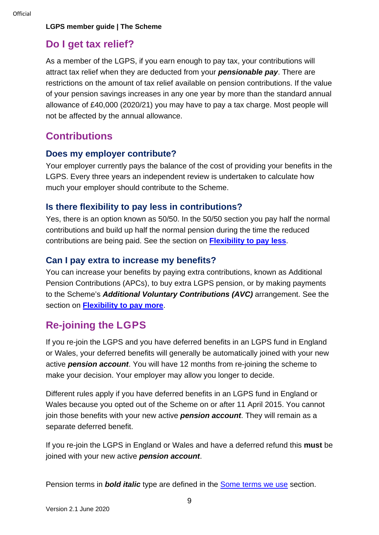### <span id="page-8-0"></span>**Do I get tax relief?**

As a member of the LGPS, if you earn enough to pay tax, your contributions will attract tax relief when they are deducted from your *pensionable pay*. There are restrictions on the amount of tax relief available on pension contributions. If the value of your pension savings increases in any one year by more than the standard annual allowance of £40,000 (2020/21) you may have to pay a tax charge. Most people will not be affected by the annual allowance.

### <span id="page-8-1"></span>**Contributions**

#### **Does my employer contribute?**

Your employer currently pays the balance of the cost of providing your benefits in the LGPS. Every three years an independent review is undertaken to calculate how much your employer should contribute to the Scheme.

#### **Is there flexibility to pay less in contributions?**

Yes, there is an option known as 50/50. In the 50/50 section you pay half the normal contributions and build up half the normal pension during the time the reduced contributions are being paid. See the section on **[Flexibility to pay less](#page-10-1)**.

#### **Can I pay extra to increase my benefits?**

You can increase your benefits by paying extra contributions, known as Additional Pension Contributions (APCs), to buy extra LGPS pension, or by making payments to the Scheme's *Additional Voluntary Contributions (AVC)* arrangement. See the section on**[Flexibility to pay more](#page-11-0)**.

# <span id="page-8-2"></span>**Re-joining the LGPS**

If you re-join the LGPS and you have deferred benefits in an LGPS fund in England or Wales, your deferred benefits will generally be automatically joined with your new active *pension account*. You will have 12 months from re-joining the scheme to make your decision. Your employer may allow you longer to decide.

Different rules apply if you have deferred benefits in an LGPS fund in England or Wales because you opted out of the Scheme on or after 11 April 2015. You cannot join those benefits with your new active *pension account*. They will remain as a separate deferred benefit.

If you re-join the LGPS in England or Wales and have a deferred refund this **must** be joined with your new active *pension account*.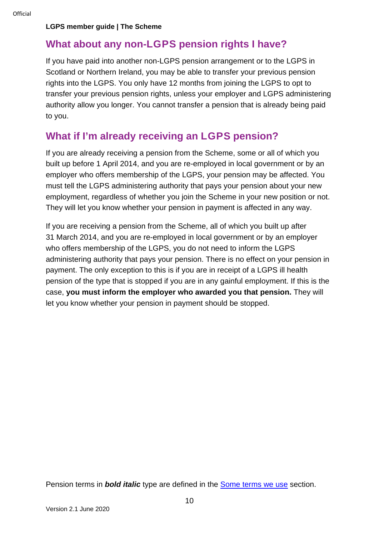### <span id="page-9-0"></span>**What about any non-LGPS pension rights I have?**

If you have paid into another non-LGPS pension arrangement or to the LGPS in Scotland or Northern Ireland, you may be able to transfer your previous pension rights into the LGPS. You only have 12 months from joining the LGPS to opt to transfer your previous pension rights, unless your employer and LGPS administering authority allow you longer. You cannot transfer a pension that is already being paid to you.

## <span id="page-9-1"></span>**What if I'm already receiving an LGPS pension?**

If you are already receiving a pension from the Scheme, some or all of which you built up before 1 April 2014, and you are re-employed in local government or by an employer who offers membership of the LGPS, your pension may be affected. You must tell the LGPS administering authority that pays your pension about your new employment, regardless of whether you join the Scheme in your new position or not. They will let you know whether your pension in payment is affected in any way.

If you are receiving a pension from the Scheme, all of which you built up after 31 March 2014, and you are re-employed in local government or by an employer who offers membership of the LGPS, you do not need to inform the LGPS administering authority that pays your pension. There is no effect on your pension in payment. The only exception to this is if you are in receipt of a LGPS ill health pension of the type that is stopped if you are in any gainful employment. If this is the case, **you must inform the employer who awarded you that pension.** They will let you know whether your pension in payment should be stopped.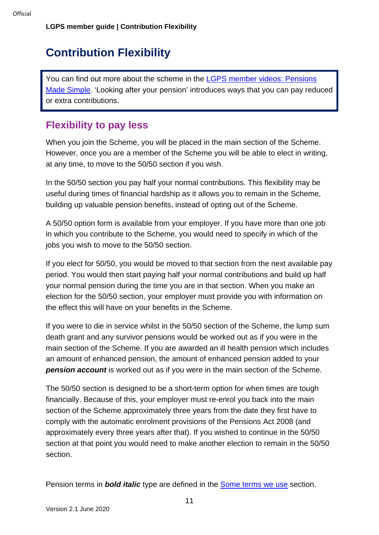# <span id="page-10-0"></span>**Contribution Flexibility**

<span id="page-10-2"></span>You can find out more about the scheme in the LGPS member videos: Pensions [Made Simple.](https://www.lgpsmember.org/more/Videos.php) 'Looking after your pension' introduces ways that you can pay reduced or extra contributions.

# <span id="page-10-1"></span>**Flexibility to pay less**

When you join the Scheme, you will be placed in the main section of the Scheme. However, once you are a member of the Scheme you will be able to elect in writing, at any time, to move to the 50/50 section if you wish.

In the 50/50 section you pay half your normal contributions. This flexibility may be useful during times of financial hardship as it allows you to remain in the Scheme, building up valuable pension benefits, instead of opting out of the Scheme.

A 50/50 option form is available from your employer. If you have more than one job in which you contribute to the Scheme, you would need to specify in which of the jobs you wish to move to the 50/50 section.

If you elect for 50/50, you would be moved to that section from the next available pay period. You would then start paying half your normal contributions and build up half your normal pension during the time you are in that section. When you make an election for the 50/50 section, your employer must provide you with information on the effect this will have on your benefits in the Scheme.

If you were to die in service whilst in the 50/50 section of the Scheme, the lump sum death grant and any survivor pensions would be worked out as if you were in the main section of the Scheme. If you are awarded an ill health pension which includes an amount of enhanced pension, the amount of enhanced pension added to your *pension account* is worked out as if you were in the main section of the Scheme.

The 50/50 section is designed to be a short-term option for when times are tough financially. Because of this, your employer must re-enrol you back into the main section of the Scheme approximately three years from the date they first have to comply with the automatic enrolment provisions of the Pensions Act 2008 (and approximately every three years after that). If you wished to continue in the 50/50 section at that point you would need to make another election to remain in the 50/50 section.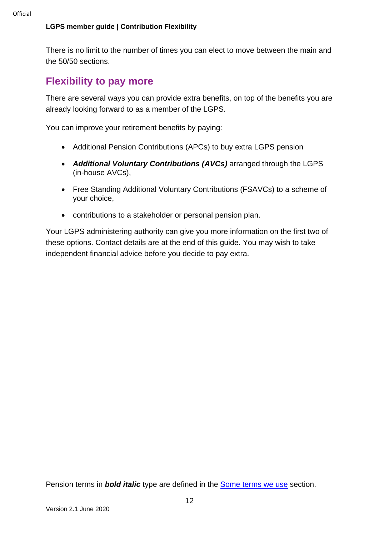#### **LGPS member guide | Contribution Flexibility**

There is no limit to the number of times you can elect to move between the main and the 50/50 sections.

## <span id="page-11-0"></span>**Flexibility to pay more**

There are several ways you can provide extra benefits, on top of the benefits you are already looking forward to as a member of the LGPS.

You can improve your retirement benefits by paying:

- Additional Pension Contributions (APCs) to buy extra LGPS pension
- *Additional Voluntary Contributions (AVCs)* arranged through the LGPS (in-house AVCs),
- Free Standing Additional Voluntary Contributions (FSAVCs) to a scheme of your choice,
- contributions to a stakeholder or personal pension plan.

Your LGPS administering authority can give you more information on the first two of these options. Contact details are at the end of this guide. You may wish to take independent financial advice before you decide to pay extra.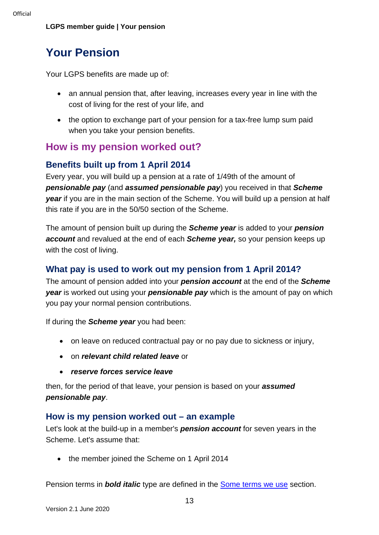# <span id="page-12-0"></span>**Your Pension**

Your LGPS benefits are made up of:

- an annual pension that, after leaving, increases every year in line with the cost of living for the rest of your life, and
- the option to exchange part of your pension for a tax-free lump sum paid when you take your pension benefits.

## <span id="page-12-1"></span>**How is my pension worked out?**

### **Benefits built up from 1 April 2014**

Every year, you will build up a pension at a rate of 1/49th of the amount of *pensionable pay* (and *assumed pensionable pay*) you received in that *Scheme year* if you are in the main section of the Scheme. You will build up a pension at half this rate if you are in the 50/50 section of the Scheme.

The amount of pension built up during the *Scheme year* is added to your *pension account* and revalued at the end of each *Scheme year,* so your pension keeps up with the cost of living.

### **What pay is used to work out my pension from 1 April 2014?**

The amount of pension added into your *pension account* at the end of the *Scheme year* is worked out using your *pensionable pay* which is the amount of pay on which you pay your normal pension contributions.

If during the *Scheme year* you had been:

- on leave on reduced contractual pay or no pay due to sickness or injury,
- on *relevant child related leave* or
- *reserve forces service leave*

then, for the period of that leave, your pension is based on your *assumed pensionable pay*.

#### **How is my pension worked out – an example**

Let's look at the build-up in a member's *pension account* for seven years in the Scheme. Let's assume that:

• the member joined the Scheme on 1 April 2014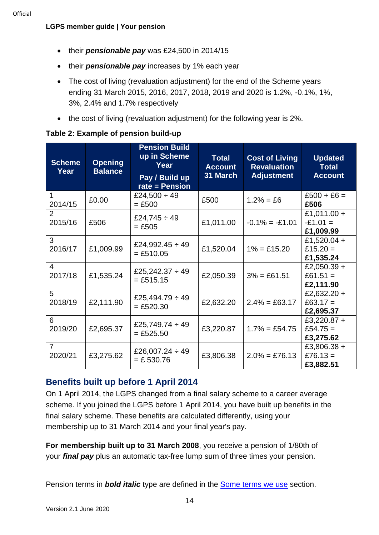#### **LGPS member guide | Your pension**

- their *pensionable pay* was £24,500 in 2014/15
- their *pensionable pay* increases by 1% each year
- The cost of living (revaluation adjustment) for the end of the Scheme years ending 31 March 2015, 2016, 2017, 2018, 2019 and 2020 is 1.2%, -0.1%, 1%, 3%, 2.4% and 1.7% respectively
- the cost of living (revaluation adjustment) for the following year is 2%.

| <b>Scheme</b><br>Year     | <b>Opening</b><br><b>Balance</b> | <b>Pension Build</b><br>up in Scheme<br>Year<br>Pay / Build up<br>$rate = Pension$ | <b>Total</b><br><b>Account</b><br>31 March | <b>Cost of Living</b><br><b>Revaluation</b><br><b>Adjustment</b> | <b>Updated</b><br><b>Total</b><br><b>Account</b> |
|---------------------------|----------------------------------|------------------------------------------------------------------------------------|--------------------------------------------|------------------------------------------------------------------|--------------------------------------------------|
| 1<br>2014/15              | £0.00                            | £24,500 $\div$ 49<br>$=$ £500                                                      | £500                                       | $1.2\% = £6$                                                     | $£500 + £6 =$<br>£506                            |
| $\overline{2}$<br>2015/16 | £506                             | £24,745 $\div$ 49<br>$= £505$                                                      | £1,011.00                                  | $-0.1\% = -0.101$                                                | £1,011.00 +<br>$-E1.01 =$<br>£1,009.99           |
| 3<br>2016/17              | £1,009.99                        | £24,992.45 $\div$ 49<br>$= £510.05$                                                | £1,520.04                                  | $1\% = £15.20$                                                   | £1,520.04 +<br>£15.20 $=$<br>£1,535.24           |
| 4<br>2017/18              | £1,535.24                        | £25,242.37 $\div$ 49<br>$= £515.15$                                                | £2,050.39                                  | $3\% = £61.51$                                                   | £2,050.39 +<br>£61.51 $=$<br>£2,111.90           |
| 5<br>2018/19              | £2,111.90                        | £25,494.79 $\div$ 49<br>$= £520.30$                                                | £2,632.20                                  | $2.4\% = \text{\pounds}63.17$                                    | £2,632.20 +<br>£63.17 $=$<br>£2,695.37           |
| 6<br>2019/20              | £2,695.37                        | £25,749.74 $\div$ 49<br>$= £525.50$                                                | £3,220.87                                  | $1.7\% = £54.75$                                                 | £3,220.87 +<br>£54.75 $=$<br>£3,275.62           |
| $\overline{7}$<br>2020/21 | £3,275.62                        | £26,007.24 $\div$ 49<br>$= £530.76$                                                | £3,806.38                                  | $2.0\% = £76.13$                                                 | £3,806.38 +<br>£76.13 =<br>£3,882.51             |

#### **Table 2: Example of pension build-up**

### **Benefits built up before 1 April 2014**

On 1 April 2014, the LGPS changed from a final salary scheme to a career average scheme. If you joined the LGPS before 1 April 2014, you have built up benefits in the final salary scheme. These benefits are calculated differently, using your membership up to 31 March 2014 and your final year's pay.

**For membership built up to 31 March 2008**, you receive a pension of 1/80th of your *final pay* plus an automatic tax-free lump sum of three times your pension.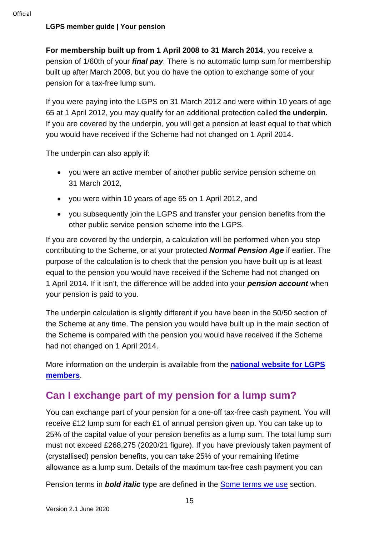#### **LGPS member guide | Your pension**

**For membership built up from 1 April 2008 to 31 March 2014**, you receive a pension of 1/60th of your *final pay*. There is no automatic lump sum for membership built up after March 2008, but you do have the option to exchange some of your pension for a tax-free lump sum.

If you were paying into the LGPS on 31 March 2012 and were within 10 years of age 65 at 1 April 2012, you may qualify for an additional protection called **the underpin.**  If you are covered by the underpin, you will get a pension at least equal to that which you would have received if the Scheme had not changed on 1 April 2014.

The underpin can also apply if:

- you were an active member of another public service pension scheme on 31 March 2012,
- you were within 10 years of age 65 on 1 April 2012, and
- you subsequently join the LGPS and transfer your pension benefits from the other public service pension scheme into the LGPS.

If you are covered by the underpin, a calculation will be performed when you stop contributing to the Scheme, or at your protected *Normal Pension Age* if earlier. The purpose of the calculation is to check that the pension you have built up is at least equal to the pension you would have received if the Scheme had not changed on 1 April 2014. If it isn't, the difference will be added into your *pension account* when your pension is paid to you.

The underpin calculation is slightly different if you have been in the 50/50 section of the Scheme at any time. The pension you would have built up in the main section of the Scheme is compared with the pension you would have received if the Scheme had not changed on 1 April 2014.

More information on the underpin is available from the **[national website for LGPS](http://www.lgpsmember.org/more/underpin.php)  [members](http://www.lgpsmember.org/more/underpin.php)**.

# <span id="page-14-0"></span>**Can I exchange part of my pension for a lump sum?**

You can exchange part of your pension for a one-off tax-free cash payment. You will receive £12 lump sum for each £1 of annual pension given up. You can take up to 25% of the capital value of your pension benefits as a lump sum. The total lump sum must not exceed £268,275 (2020/21 figure). If you have previously taken payment of (crystallised) pension benefits, you can take 25% of your remaining lifetime allowance as a lump sum. Details of the maximum tax-free cash payment you can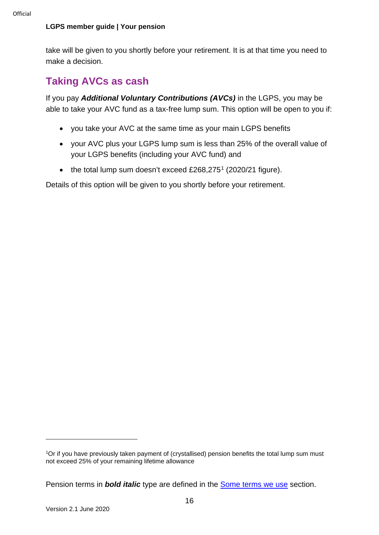#### **LGPS member guide | Your pension**

take will be given to you shortly before your retirement. It is at that time you need to make a decision.

# <span id="page-15-0"></span>**Taking AVCs as cash**

If you pay *Additional Voluntary Contributions (AVCs)* in the LGPS, you may be able to take your AVC fund as a tax-free lump sum. This option will be open to you if:

- you take your AVC at the same time as your main LGPS benefits
- your AVC plus your LGPS lump sum is less than 25% of the overall value of your LGPS benefits (including your AVC fund) and
- the total lump sum doesn't exceed £268,275<sup>[1](#page-15-1)</sup> (2020/21 figure).

Details of this option will be given to you shortly before your retirement.

<span id="page-15-1"></span><sup>1</sup>Or if you have previously taken payment of (crystallised) pension benefits the total lump sum must not exceed 25% of your remaining lifetime allowance

Pension terms in *bold italic* type are defined in the [Some terms we use](#page-30-0) section.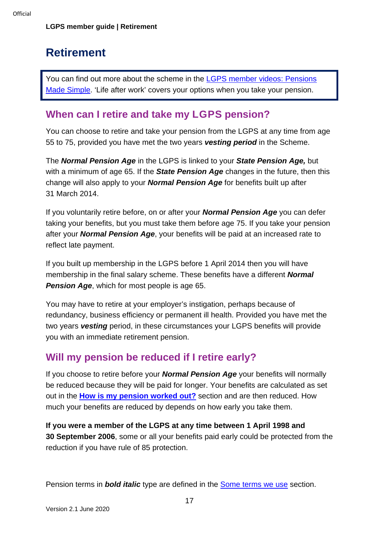# <span id="page-16-0"></span>**Retirement**

You can find out more about the scheme in the LGPS member videos: Pensions [Made Simple.](https://www.lgpsmember.org/more/Videos.php) 'Life after work' covers your options when you take your pension.

# <span id="page-16-1"></span>**When can I retire and take my LGPS pension?**

You can choose to retire and take your pension from the LGPS at any time from age 55 to 75, provided you have met the two years *vesting period* in the Scheme.

The *Normal Pension Age* in the LGPS is linked to your *State Pension Age,* but with a minimum of age 65. If the *State Pension Age* changes in the future, then this change will also apply to your *Normal Pension Age* for benefits built up after 31 March 2014.

If you voluntarily retire before, on or after your *Normal Pension Age* you can defer taking your benefits, but you must take them before age 75. If you take your pension after your *Normal Pension Age*, your benefits will be paid at an increased rate to reflect late payment.

If you built up membership in the LGPS before 1 April 2014 then you will have membership in the final salary scheme. These benefits have a different *Normal Pension Age*, which for most people is age 65.

You may have to retire at your employer's instigation, perhaps because of redundancy, business efficiency or permanent ill health. Provided you have met the two years *vesting* period, in these circumstances your LGPS benefits will provide you with an immediate retirement pension.

# <span id="page-16-2"></span>**Will my pension be reduced if I retire early?**

If you choose to retire before your *Normal Pension Age* your benefits will normally be reduced because they will be paid for longer. Your benefits are calculated as set out in the**[How is my pension worked out?](#page-12-1)** section and are then reduced. How much your benefits are reduced by depends on how early you take them.

**If you were a member of the LGPS at any time between 1 April 1998 and 30 September 2006**, some or all your benefits paid early could be protected from the reduction if you have rule of 85 protection.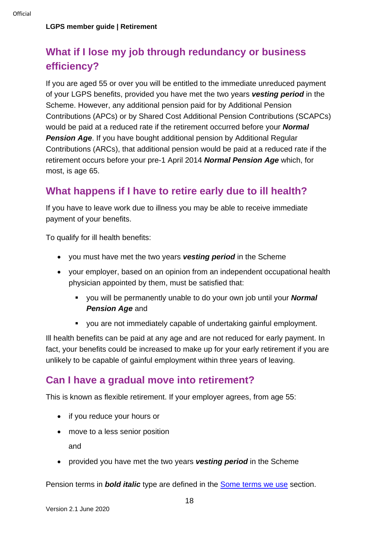# <span id="page-17-0"></span>**What if I lose my job through redundancy or business efficiency?**

If you are aged 55 or over you will be entitled to the immediate unreduced payment of your LGPS benefits, provided you have met the two years *vesting period* in the Scheme. However, any additional pension paid for by Additional Pension Contributions (APCs) or by Shared Cost Additional Pension Contributions (SCAPCs) would be paid at a reduced rate if the retirement occurred before your *Normal*  **Pension Age.** If you have bought additional pension by Additional Regular Contributions (ARCs), that additional pension would be paid at a reduced rate if the retirement occurs before your pre-1 April 2014 *Normal Pension Age* which, for most, is age 65.

# <span id="page-17-1"></span>**What happens if I have to retire early due to ill health?**

If you have to leave work due to illness you may be able to receive immediate payment of your benefits.

To qualify for ill health benefits:

- you must have met the two years *vesting period* in the Scheme
- your employer, based on an opinion from an independent occupational health physician appointed by them, must be satisfied that:
	- you will be permanently unable to do your own job until your *Normal*  **Pension Age and**
	- vou are not immediately capable of undertaking gainful employment.

Ill health benefits can be paid at any age and are not reduced for early payment. In fact, your benefits could be increased to make up for your early retirement if you are unlikely to be capable of gainful employment within three years of leaving.

### <span id="page-17-2"></span>**Can I have a gradual move into retirement?**

This is known as flexible retirement. If your employer agrees, from age 55:

- if you reduce your hours or
- move to a less senior position and
- provided you have met the two years *vesting period* in the Scheme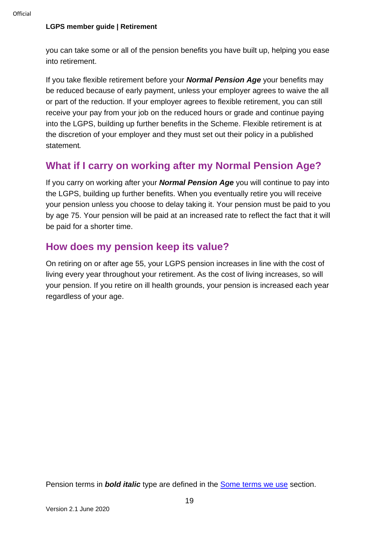#### **LGPS member guide | Retirement**

you can take some or all of the pension benefits you have built up, helping you ease into retirement.

If you take flexible retirement before your *Normal Pension Age* your benefits may be reduced because of early payment, unless your employer agrees to waive the all or part of the reduction. If your employer agrees to flexible retirement, you can still receive your pay from your job on the reduced hours or grade and continue paying into the LGPS, building up further benefits in the Scheme. Flexible retirement is at the discretion of your employer and they must set out their policy in a published statement*.*

## <span id="page-18-0"></span>**What if I carry on working after my Normal Pension Age?**

If you carry on working after your *Normal Pension Age* you will continue to pay into the LGPS, building up further benefits. When you eventually retire you will receive your pension unless you choose to delay taking it. Your pension must be paid to you by age 75. Your pension will be paid at an increased rate to reflect the fact that it will be paid for a shorter time.

### <span id="page-18-1"></span>**How does my pension keep its value?**

On retiring on or after age 55, your LGPS pension increases in line with the cost of living every year throughout your retirement. As the cost of living increases, so will your pension. If you retire on ill health grounds, your pension is increased each year regardless of your age.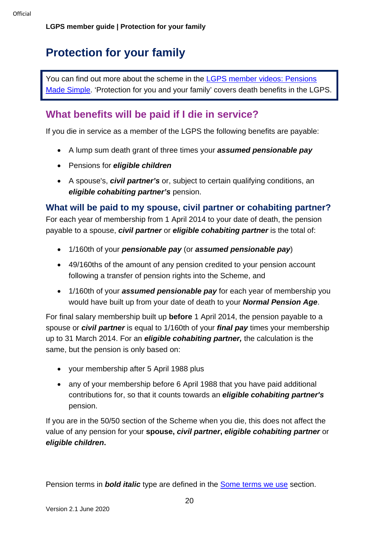# <span id="page-19-0"></span>**Protection for your family**

You can find out more about the scheme in the LGPS member videos: Pensions [Made Simple.](https://www.lgpsmember.org/more/Videos.php) 'Protection for you and your family' covers death benefits in the LGPS.

## <span id="page-19-1"></span>**What benefits will be paid if I die in service?**

If you die in service as a member of the LGPS the following benefits are payable:

- A lump sum death grant of three times your *assumed pensionable pay*
- Pensions for *eligible children*
- A spouse's, *civil partner's* or, subject to certain qualifying conditions, an *eligible cohabiting partner's* pension.

### **What will be paid to my spouse, civil partner or cohabiting partner?**

For each year of membership from 1 April 2014 to your date of death, the pension payable to a spouse, *civil partner* or *eligible cohabiting partner* is the total of:

- 1/160th of your *pensionable pay* (or *assumed pensionable pay*)
- 49/160ths of the amount of any pension credited to your pension account following a transfer of pension rights into the Scheme, and
- 1/160th of your *assumed pensionable pay* for each year of membership you would have built up from your date of death to your *Normal Pension Age*.

For final salary membership built up **before** 1 April 2014, the pension payable to a spouse or *civil partner* is equal to 1/160th of your *final pay* times your membership up to 31 March 2014. For an *eligible cohabiting partner,* the calculation is the same, but the pension is only based on:

- your membership after 5 April 1988 plus
- any of your membership before 6 April 1988 that you have paid additional contributions for, so that it counts towards an *eligible cohabiting partner's* pension.

<span id="page-19-2"></span>If you are in the 50/50 section of the Scheme when you die, this does not affect the value of any pension for your **spouse,** *civil partner***,** *eligible cohabiting partner* or *eligible children***.**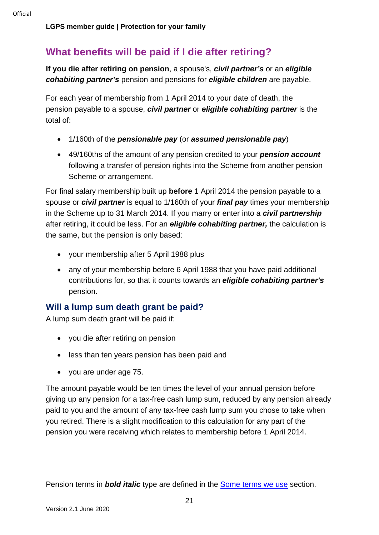# **What benefits will be paid if I die after retiring?**

**If you die after retiring on pension**, a spouse's, *civil partner's* or an *eligible cohabiting partner's* pension and pensions for *eligible children* are payable.

For each year of membership from 1 April 2014 to your date of death, the pension payable to a spouse, *civil partner* or *eligible cohabiting partner* is the total of:

- 1/160th of the *pensionable pay* (or *assumed pensionable pay*)
- 49/160ths of the amount of any pension credited to your *pension account* following a transfer of pension rights into the Scheme from another pension Scheme or arrangement.

For final salary membership built up **before** 1 April 2014 the pension payable to a spouse or *civil partner* is equal to 1/160th of your *final pay* times your membership in the Scheme up to 31 March 2014. If you marry or enter into a *civil partnership* after retiring, it could be less. For an *eligible cohabiting partner,* the calculation is the same, but the pension is only based:

- your membership after 5 April 1988 plus
- any of your membership before 6 April 1988 that you have paid additional contributions for, so that it counts towards an *eligible cohabiting partner's* pension.

### **Will a lump sum death grant be paid?**

A lump sum death grant will be paid if:

- you die after retiring on pension
- less than ten years pension has been paid and
- you are under age 75.

The amount payable would be ten times the level of your annual pension before giving up any pension for a tax-free cash lump sum, reduced by any pension already paid to you and the amount of any tax-free cash lump sum you chose to take when you retired. There is a slight modification to this calculation for any part of the pension you were receiving which relates to membership before 1 April 2014.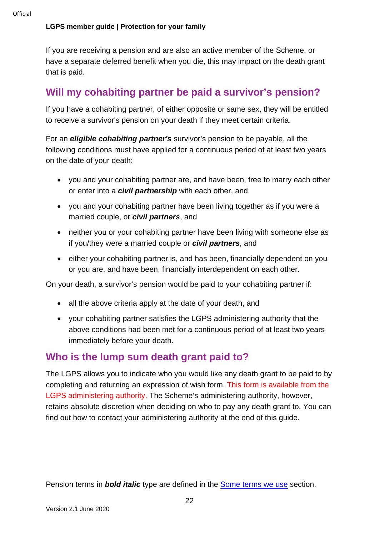#### **LGPS member guide | Protection for your family**

If you are receiving a pension and are also an active member of the Scheme, or have a separate deferred benefit when you die, this may impact on the death grant that is paid.

# <span id="page-21-0"></span>**Will my cohabiting partner be paid a survivor's pension?**

If you have a cohabiting partner, of either opposite or same sex, they will be entitled to receive a survivor's pension on your death if they meet certain criteria.

For an *eligible cohabiting partner's* survivor's pension to be payable, all the following conditions must have applied for a continuous period of at least two years on the date of your death:

- you and your cohabiting partner are, and have been, free to marry each other or enter into a *civil partnership* with each other, and
- you and your cohabiting partner have been living together as if you were a married couple, or *civil partners*, and
- neither you or your cohabiting partner have been living with someone else as if you/they were a married couple or *civil partners*, and
- either your cohabiting partner is, and has been, financially dependent on you or you are, and have been, financially interdependent on each other.

On your death, a survivor's pension would be paid to your cohabiting partner if:

- all the above criteria apply at the date of your death, and
- your cohabiting partner satisfies the LGPS administering authority that the above conditions had been met for a continuous period of at least two years immediately before your death.

### <span id="page-21-1"></span>**Who is the lump sum death grant paid to?**

The LGPS allows you to indicate who you would like any death grant to be paid to by completing and returning an expression of wish form. This form is available from the LGPS administering authority. The Scheme's administering authority, however, retains absolute discretion when deciding on who to pay any death grant to. You can find out how to contact your administering authority at the end of this guide.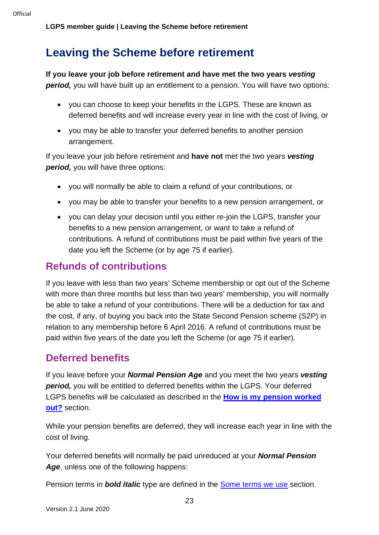# <span id="page-22-0"></span>**Leaving the Scheme before retirement**

### **If you leave your job before retirement and have met the two years** *vesting*

**period,** you will have built up an entitlement to a pension. You will have two options:

- you can choose to keep your benefits in the LGPS. These are known as deferred benefits and will increase every year in line with the cost of living, or
- you may be able to transfer your deferred benefits to another pension arrangement.

If you leave your job before retirement and **have not** met the two years *vesting period,* you will have three options:

- you will normally be able to claim a refund of your contributions, or
- you may be able to transfer your benefits to a new pension arrangement, or
- you can delay your decision until you either re-join the LGPS, transfer your benefits to a new pension arrangement, or want to take a refund of contributions. A refund of contributions must be paid within five years of the date you left the Scheme (or by age 75 if earlier).

## <span id="page-22-1"></span>**Refunds of contributions**

If you leave with less than two years' Scheme membership or opt out of the Scheme with more than three months but less than two years' membership, you will normally be able to take a refund of your contributions. There will be a deduction for tax and the cost, if any, of buying you back into the State Second Pension scheme (S2P) in relation to any membership before 6 April 2016. A refund of contributions must be paid within five years of the date you left the Scheme (or age 75 if earlier).

### <span id="page-22-2"></span>**Deferred benefits**

If you leave before your *Normal Pension Age* and you meet the two years *vesting period,* you will be entitled to deferred benefits within the LGPS. Your deferred LGPS benefits will be calculated as described in the **How is my pension worked out?** section.

While your pension benefits are deferred, they will increase each year in line with the cost of living.

Your deferred benefits will normally be paid unreduced at your *Normal Pension Age*, unless one of the following happens: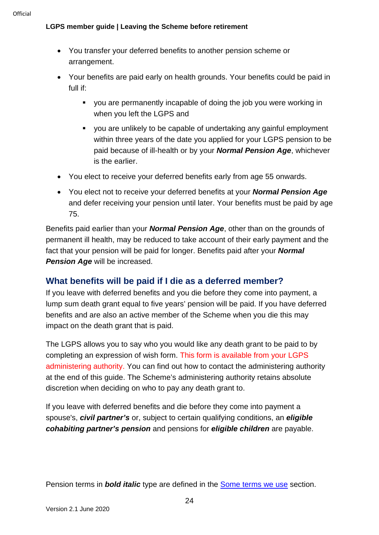- You transfer your deferred benefits to another pension scheme or arrangement.
- Your benefits are paid early on health grounds. Your benefits could be paid in full if:
	- you are permanently incapable of doing the job you were working in when you left the LGPS and
	- you are unlikely to be capable of undertaking any gainful employment within three years of the date you applied for your LGPS pension to be paid because of ill-health or by your *Normal Pension Age*, whichever is the earlier.
- You elect to receive your deferred benefits early from age 55 onwards.
- You elect not to receive your deferred benefits at your *Normal Pension Age* and defer receiving your pension until later. Your benefits must be paid by age 75.

Benefits paid earlier than your *Normal Pension Age*, other than on the grounds of permanent ill health, may be reduced to take account of their early payment and the fact that your pension will be paid for longer. Benefits paid after your *Normal*  **Pension Age** will be increased.

### **What benefits will be paid if I die as a deferred member?**

If you leave with deferred benefits and you die before they come into payment, a lump sum death grant equal to five years' pension will be paid. If you have deferred benefits and are also an active member of the Scheme when you die this may impact on the death grant that is paid.

The LGPS allows you to say who you would like any death grant to be paid to by completing an expression of wish form. This form is available from your LGPS administering authority. You can find out how to contact the administering authority at the end of this guide. The Scheme's administering authority retains absolute discretion when deciding on who to pay any death grant to.

If you leave with deferred benefits and die before they come into payment a spouse's, *civil partner's* or, subject to certain qualifying conditions, an *eligible cohabiting partner's pension* and pensions for *eligible children* are payable.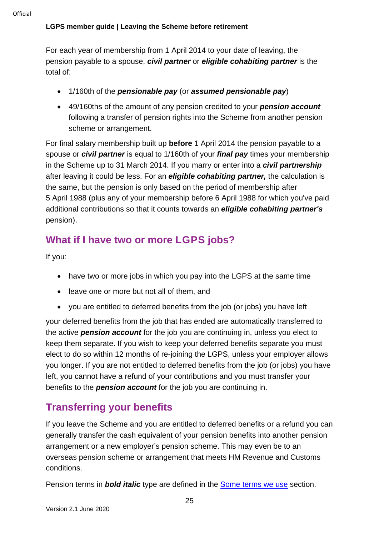For each year of membership from 1 April 2014 to your date of leaving, the pension payable to a spouse, *civil partner* or *eligible cohabiting partner* is the total of:

- 1/160th of the *pensionable pay* (or *assumed pensionable pay*)
- 49/160ths of the amount of any pension credited to your *pension account* following a transfer of pension rights into the Scheme from another pension scheme or arrangement.

For final salary membership built up **before** 1 April 2014 the pension payable to a spouse or *civil partner* is equal to 1/160th of your *final pay* times your membership in the Scheme up to 31 March 2014. If you marry or enter into a *civil partnership* after leaving it could be less. For an *eligible cohabiting partner,* the calculation is the same, but the pension is only based on the period of membership after 5 April 1988 (plus any of your membership before 6 April 1988 for which you've paid additional contributions so that it counts towards an *eligible cohabiting partner's* pension).

# <span id="page-24-0"></span>**What if I have two or more LGPS jobs?**

If you:

- have two or more jobs in which you pay into the LGPS at the same time
- leave one or more but not all of them, and
- you are entitled to deferred benefits from the job (or jobs) you have left

your deferred benefits from the job that has ended are automatically transferred to the active *pension account* for the job you are continuing in, unless you elect to keep them separate. If you wish to keep your deferred benefits separate you must elect to do so within 12 months of re-joining the LGPS, unless your employer allows you longer. If you are not entitled to deferred benefits from the job (or jobs) you have left, you cannot have a refund of your contributions and you must transfer your benefits to the *pension account* for the job you are continuing in.

# <span id="page-24-1"></span>**Transferring your benefits**

If you leave the Scheme and you are entitled to deferred benefits or a refund you can generally transfer the cash equivalent of your pension benefits into another pension arrangement or a new employer's pension scheme. This may even be to an overseas pension scheme or arrangement that meets HM Revenue and Customs conditions.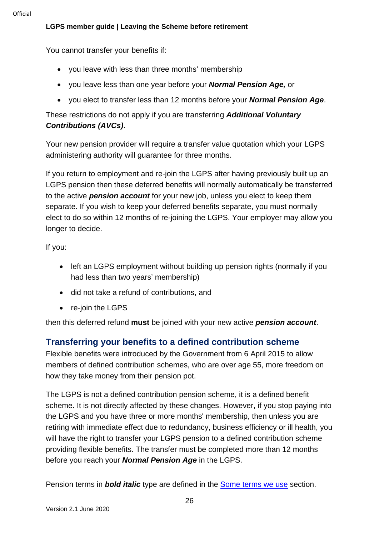You cannot transfer your benefits if:

- you leave with less than three months' membership
- you leave less than one year before your *Normal Pension Age,* or
- you elect to transfer less than 12 months before your *Normal Pension Age*.

These restrictions do not apply if you are transferring *Additional Voluntary Contributions (AVCs)*.

Your new pension provider will require a transfer value quotation which your LGPS administering authority will guarantee for three months.

If you return to employment and re-join the LGPS after having previously built up an LGPS pension then these deferred benefits will normally automatically be transferred to the active *pension account* for your new job, unless you elect to keep them separate. If you wish to keep your deferred benefits separate, you must normally elect to do so within 12 months of re-joining the LGPS. Your employer may allow you longer to decide.

If you:

- left an LGPS employment without building up pension rights (normally if you had less than two years' membership)
- did not take a refund of contributions, and
- re-join the LGPS

then this deferred refund **must** be joined with your new active *pension account*.

### **Transferring your benefits to a defined contribution scheme**

Flexible benefits were introduced by the Government from 6 April 2015 to allow members of defined contribution schemes, who are over age 55, more freedom on how they take money from their pension pot.

The LGPS is not a defined contribution pension scheme, it is a defined benefit scheme. It is not directly affected by these changes. However, if you stop paying into the LGPS and you have three or more months' membership, then unless you are retiring with immediate effect due to redundancy, business efficiency or ill health, you will have the right to transfer your LGPS pension to a defined contribution scheme providing flexible benefits. The transfer must be completed more than 12 months before you reach your *Normal Pension Age* in the LGPS.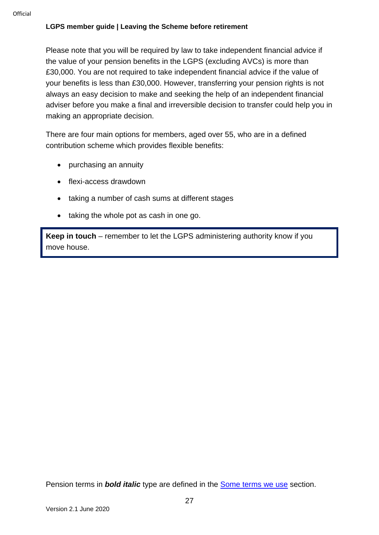Please note that you will be required by law to take independent financial advice if the value of your pension benefits in the LGPS (excluding AVCs) is more than £30,000. You are not required to take independent financial advice if the value of your benefits is less than £30,000. However, transferring your pension rights is not always an easy decision to make and seeking the help of an independent financial adviser before you make a final and irreversible decision to transfer could help you in making an appropriate decision.

There are four main options for members, aged over 55, who are in a defined contribution scheme which provides flexible benefits:

- purchasing an annuity
- flexi-access drawdown
- taking a number of cash sums at different stages
- taking the whole pot as cash in one go.

**Keep in touch** – remember to let the LGPS administering authority know if you move house.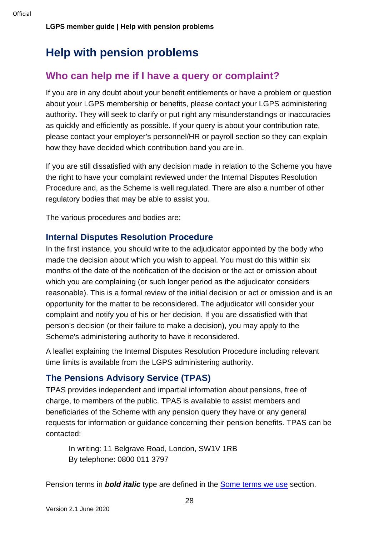# <span id="page-27-0"></span>**Help with pension problems**

## <span id="page-27-1"></span>**Who can help me if I have a query or complaint?**

If you are in any doubt about your benefit entitlements or have a problem or question about your LGPS membership or benefits, please contact your LGPS administering authority**.** They will seek to clarify or put right any misunderstandings or inaccuracies as quickly and efficiently as possible. If your query is about your contribution rate, please contact your employer's personnel/HR or payroll section so they can explain how they have decided which contribution band you are in.

If you are still dissatisfied with any decision made in relation to the Scheme you have the right to have your complaint reviewed under the Internal Disputes Resolution Procedure and, as the Scheme is well regulated. There are also a number of other regulatory bodies that may be able to assist you.

The various procedures and bodies are:

#### **Internal Disputes Resolution Procedure**

In the first instance, you should write to the adjudicator appointed by the body who made the decision about which you wish to appeal. You must do this within six months of the date of the notification of the decision or the act or omission about which you are complaining (or such longer period as the adjudicator considers reasonable). This is a formal review of the initial decision or act or omission and is an opportunity for the matter to be reconsidered. The adjudicator will consider your complaint and notify you of his or her decision. If you are dissatisfied with that person's decision (or their failure to make a decision), you may apply to the Scheme's administering authority to have it reconsidered.

A leaflet explaining the Internal Disputes Resolution Procedure including relevant time limits is available from the LGPS administering authority.

### **The Pensions Advisory Service (TPAS)**

TPAS provides independent and impartial information about pensions, free of charge, to members of the public. TPAS is available to assist members and beneficiaries of the Scheme with any pension query they have or any general requests for information or guidance concerning their pension benefits. TPAS can be contacted:

In writing: 11 Belgrave Road, London, SW1V 1RB By telephone: 0800 011 3797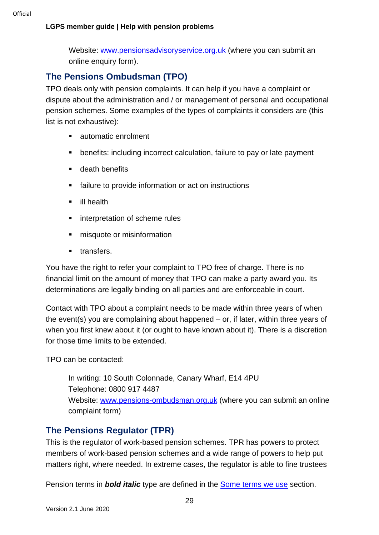#### **LGPS member guide | Help with pension problems**

Website: [www.pensionsadvisoryservice.org.uk](http://www.pensionsadvisoryservice.org.uk/) (where you can submit an online enquiry form).

### **The Pensions Ombudsman (TPO)**

TPO deals only with pension complaints. It can help if you have a complaint or dispute about the administration and / or management of personal and occupational pension schemes. Some examples of the types of complaints it considers are (this list is not exhaustive):

- automatic enrolment
- benefits: including incorrect calculation, failure to pay or late payment
- **death benefits**
- **Failure to provide information or act on instructions**
- **ill health**
- **EXECUTE:** interpretation of scheme rules
- $\blacksquare$  misquote or misinformation
- **u** transfers.

You have the right to refer your complaint to TPO free of charge. There is no financial limit on the amount of money that TPO can make a party award you. Its determinations are legally binding on all parties and are enforceable in court.

Contact with TPO about a complaint needs to be made within three years of when the event(s) you are complaining about happened – or, if later, within three years of when you first knew about it (or ought to have known about it). There is a discretion for those time limits to be extended.

TPO can be contacted:

In writing: 10 South Colonnade, Canary Wharf, E14 4PU Telephone: 0800 917 4487 Website: [www.pensions-ombudsman.org.uk](http://www.pensions-ombudsman.org.uk/) (where you can submit an online complaint form)

### **The Pensions Regulator (TPR)**

This is the regulator of work-based pension schemes. TPR has powers to protect members of work-based pension schemes and a wide range of powers to help put matters right, where needed. In extreme cases, the regulator is able to fine trustees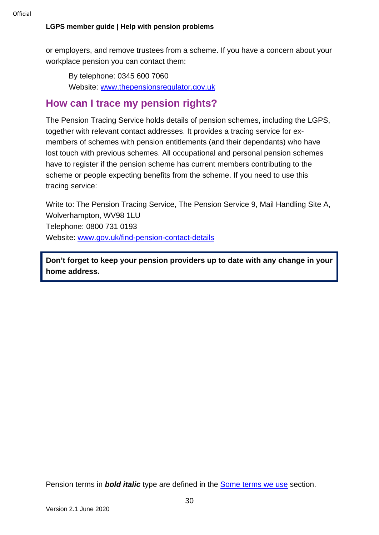#### **LGPS member guide | Help with pension problems**

or employers, and remove trustees from a scheme. If you have a concern about your workplace pension you can contact them:

By telephone: 0345 600 7060 Website: [www.thepensionsregulator.gov.uk](http://www.thepensionsregulator.gov.uk/)

### <span id="page-29-0"></span>**How can I trace my pension rights?**

The Pension Tracing Service holds details of pension schemes, including the LGPS, together with relevant contact addresses. It provides a tracing service for exmembers of schemes with pension entitlements (and their dependants) who have lost touch with previous schemes. All occupational and personal pension schemes have to register if the pension scheme has current members contributing to the scheme or people expecting benefits from the scheme. If you need to use this tracing service:

Write to: The Pension Tracing Service, The Pension Service 9, Mail Handling Site A, Wolverhampton, WV98 1LU Telephone: 0800 731 0193 Website: [www.gov.uk/find-pension-contact-details](http://www.gov.uk/find-pension-contact-details)

**Don't forget to keep your pension providers up to date with any change in your home address.**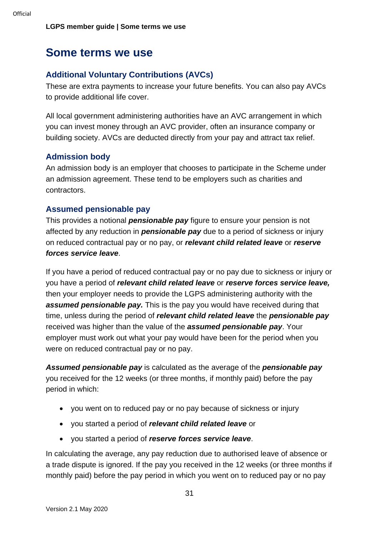# <span id="page-30-0"></span>**Some terms we use**

#### **Additional Voluntary Contributions (AVCs)**

These are extra payments to increase your future benefits. You can also pay AVCs to provide additional life cover.

All local government administering authorities have an AVC arrangement in which you can invest money through an AVC provider, often an insurance company or building society. AVCs are deducted directly from your pay and attract tax relief.

#### **Admission body**

An admission body is an employer that chooses to participate in the Scheme under an admission agreement. These tend to be employers such as charities and contractors.

#### **Assumed pensionable pay**

This provides a notional *pensionable pay* figure to ensure your pension is not affected by any reduction in *pensionable pay* due to a period of sickness or injury on reduced contractual pay or no pay, or *relevant child related leave* or *reserve forces service leave*.

If you have a period of reduced contractual pay or no pay due to sickness or injury or you have a period of *relevant child related leave* or *reserve forces service leave,* then your employer needs to provide the LGPS administering authority with the *assumed pensionable pay.* This is the pay you would have received during that time, unless during the period of *relevant child related leave* the *pensionable pay* received was higher than the value of the *assumed pensionable pay*. Your employer must work out what your pay would have been for the period when you were on reduced contractual pay or no pay.

*Assumed pensionable pay* is calculated as the average of the *pensionable pay* you received for the 12 weeks (or three months, if monthly paid) before the pay period in which:

- you went on to reduced pay or no pay because of sickness or injury
- you started a period of *relevant child related leave* or
- you started a period of *reserve forces service leave*.

In calculating the average, any pay reduction due to authorised leave of absence or a trade dispute is ignored. If the pay you received in the 12 weeks (or three months if monthly paid) before the pay period in which you went on to reduced pay or no pay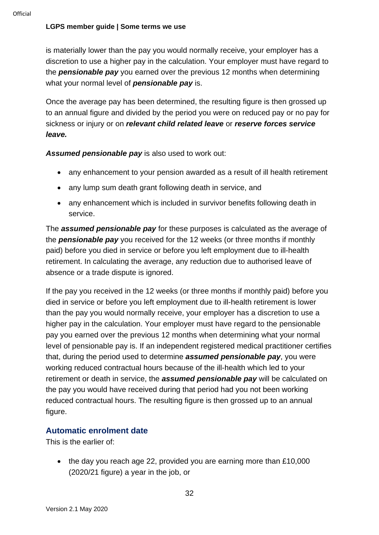is materially lower than the pay you would normally receive, your employer has a discretion to use a higher pay in the calculation. Your employer must have regard to the *pensionable pay* you earned over the previous 12 months when determining what your normal level of *pensionable pay* is.

Once the average pay has been determined, the resulting figure is then grossed up to an annual figure and divided by the period you were on reduced pay or no pay for sickness or injury or on *relevant child related leave* or *reserve forces service leave.*

*Assumed pensionable pay* is also used to work out:

- any enhancement to your pension awarded as a result of ill health retirement
- any lump sum death grant following death in service, and
- any enhancement which is included in survivor benefits following death in service.

The *assumed pensionable pay* for these purposes is calculated as the average of the *pensionable pay* you received for the 12 weeks (or three months if monthly paid) before you died in service or before you left employment due to ill-health retirement. In calculating the average, any reduction due to authorised leave of absence or a trade dispute is ignored.

If the pay you received in the 12 weeks (or three months if monthly paid) before you died in service or before you left employment due to ill-health retirement is lower than the pay you would normally receive, your employer has a discretion to use a higher pay in the calculation. Your employer must have regard to the pensionable pay you earned over the previous 12 months when determining what your normal level of pensionable pay is. If an independent registered medical practitioner certifies that, during the period used to determine *assumed pensionable pay*, you were working reduced contractual hours because of the ill-health which led to your retirement or death in service, the *assumed pensionable pay* will be calculated on the pay you would have received during that period had you not been working reduced contractual hours. The resulting figure is then grossed up to an annual figure.

#### **Automatic enrolment date**

This is the earlier of:

• the day you reach age 22, provided you are earning more than £10,000 (2020/21 figure) a year in the job, or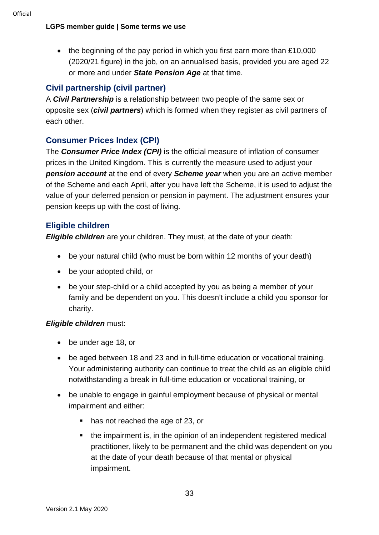• the beginning of the pay period in which you first earn more than £10,000 (2020/21 figure) in the job, on an annualised basis, provided you are aged 22 or more and under *State Pension Age* at that time.

### **Civil partnership (civil partner)**

A *Civil Partnership* is a relationship between two people of the same sex or opposite sex (*civil partners*) which is formed when they register as civil partners of each other.

### **Consumer Prices Index (CPI)**

The *Consumer Price Index (CPI)* is the official measure of inflation of consumer prices in the United Kingdom. This is currently the measure used to adjust your *pension account* at the end of every *Scheme year* when you are an active member of the Scheme and each April, after you have left the Scheme, it is used to adjust the value of your deferred pension or pension in payment. The adjustment ensures your pension keeps up with the cost of living.

#### **Eligible children**

*Eligible children* are your children. They must, at the date of your death:

- be your natural child (who must be born within 12 months of your death)
- be your adopted child, or
- be your step-child or a child accepted by you as being a member of your family and be dependent on you. This doesn't include a child you sponsor for charity.

#### *Eligible children* must:

- be under age 18, or
- be aged between 18 and 23 and in full-time education or vocational training. Your administering authority can continue to treat the child as an eligible child notwithstanding a break in full-time education or vocational training, or
- be unable to engage in gainful employment because of physical or mental impairment and either:
	- has not reached the age of 23, or
	- the impairment is, in the opinion of an independent registered medical practitioner, likely to be permanent and the child was dependent on you at the date of your death because of that mental or physical impairment.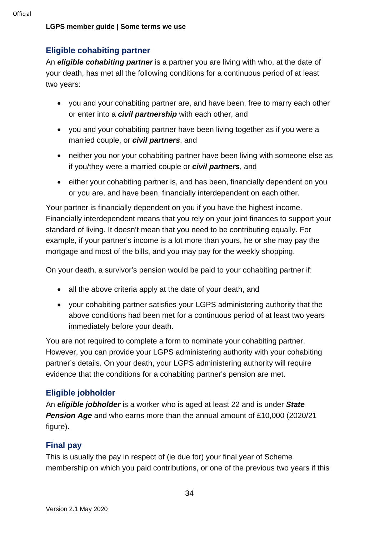#### **Eligible cohabiting partner**

An *eligible cohabiting partner* is a partner you are living with who, at the date of your death, has met all the following conditions for a continuous period of at least two years:

- you and your cohabiting partner are, and have been, free to marry each other or enter into a *civil partnership* with each other, and
- you and your cohabiting partner have been living together as if you were a married couple, or *civil partners*, and
- neither you nor your cohabiting partner have been living with someone else as if you/they were a married couple or *civil partners*, and
- either your cohabiting partner is, and has been, financially dependent on you or you are, and have been, financially interdependent on each other.

Your partner is financially dependent on you if you have the highest income. Financially interdependent means that you rely on your joint finances to support your standard of living. It doesn't mean that you need to be contributing equally. For example, if your partner's income is a lot more than yours, he or she may pay the mortgage and most of the bills, and you may pay for the weekly shopping.

On your death, a survivor's pension would be paid to your cohabiting partner if:

- all the above criteria apply at the date of your death, and
- your cohabiting partner satisfies your LGPS administering authority that the above conditions had been met for a continuous period of at least two years immediately before your death.

You are not required to complete a form to nominate your cohabiting partner. However, you can provide your LGPS administering authority with your cohabiting partner's details. On your death, your LGPS administering authority will require evidence that the conditions for a cohabiting partner's pension are met.

#### **Eligible jobholder**

An *eligible jobholder* is a worker who is aged at least 22 and is under *State Pension Age* and who earns more than the annual amount of £10,000 (2020/21 figure).

#### **Final pay**

This is usually the pay in respect of (ie due for) your final year of Scheme membership on which you paid contributions, or one of the previous two years if this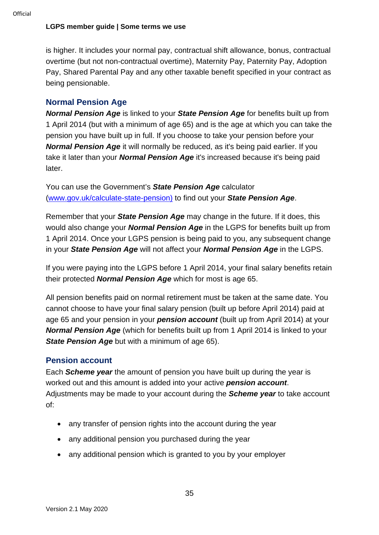is higher. It includes your normal pay, contractual shift allowance, bonus, contractual overtime (but not non-contractual overtime), Maternity Pay, Paternity Pay, Adoption Pay, Shared Parental Pay and any other taxable benefit specified in your contract as being pensionable.

#### **Normal Pension Age**

*Normal Pension Age* is linked to your *State Pension Age* for benefits built up from 1 April 2014 (but with a minimum of age 65) and is the age at which you can take the pension you have built up in full. If you choose to take your pension before your *Normal Pension Age* it will normally be reduced, as it's being paid earlier. If you take it later than your *Normal Pension Age* it's increased because it's being paid later.

You can use the Government's *State Pension Age* calculator [\(www.gov.uk/calculate-state-pension\)](http://www.gov.uk/calculate-state-pension) to find out your *State Pension Age*.

Remember that your *State Pension Age* may change in the future. If it does, this would also change your *Normal Pension Age* in the LGPS for benefits built up from 1 April 2014. Once your LGPS pension is being paid to you, any subsequent change in your *State Pension Age* will not affect your *Normal Pension Age* in the LGPS.

If you were paying into the LGPS before 1 April 2014, your final salary benefits retain their protected *Normal Pension Age* which for most is age 65.

All pension benefits paid on normal retirement must be taken at the same date. You cannot choose to have your final salary pension (built up before April 2014) paid at age 65 and your pension in your *pension account* (built up from April 2014) at your *Normal Pension Age* (which for benefits built up from 1 April 2014 is linked to your *State Pension Age but with a minimum of age 65).* 

#### **Pension account**

Each *Scheme year* the amount of pension you have built up during the year is worked out and this amount is added into your active *pension account*. Adjustments may be made to your account during the *Scheme year* to take account of:

- any transfer of pension rights into the account during the year
- any additional pension you purchased during the year
- any additional pension which is granted to you by your employer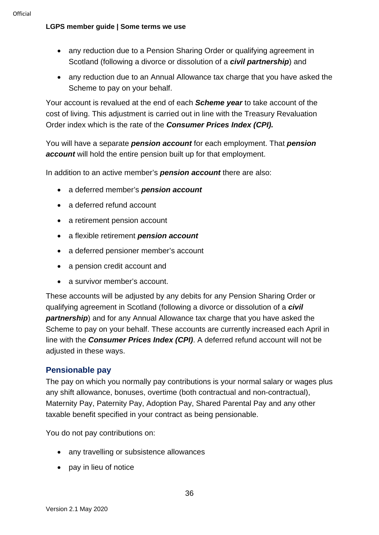- any reduction due to a Pension Sharing Order or qualifying agreement in Scotland (following a divorce or dissolution of a *civil partnership*) and
- any reduction due to an Annual Allowance tax charge that you have asked the Scheme to pay on your behalf.

Your account is revalued at the end of each *Scheme year* to take account of the cost of living. This adjustment is carried out in line with the Treasury Revaluation Order index which is the rate of the *Consumer Prices Index (CPI).*

You will have a separate *pension account* for each employment. That *pension account* will hold the entire pension built up for that employment.

In addition to an active member's *pension account* there are also:

- a deferred member's *pension account*
- a deferred refund account
- a retirement pension account
- a flexible retirement *pension account*
- a deferred pensioner member's account
- a pension credit account and
- a survivor member's account.

These accounts will be adjusted by any debits for any Pension Sharing Order or qualifying agreement in Scotland (following a divorce or dissolution of a *civil partnership*) and for any Annual Allowance tax charge that you have asked the Scheme to pay on your behalf. These accounts are currently increased each April in line with the *Consumer Prices Index (CPI)*. A deferred refund account will not be adiusted in these ways.

#### **Pensionable pay**

The pay on which you normally pay contributions is your normal salary or wages plus any shift allowance, bonuses, overtime (both contractual and non-contractual), Maternity Pay, Paternity Pay, Adoption Pay, Shared Parental Pay and any other taxable benefit specified in your contract as being pensionable.

You do not pay contributions on:

- any travelling or subsistence allowances
- pay in lieu of notice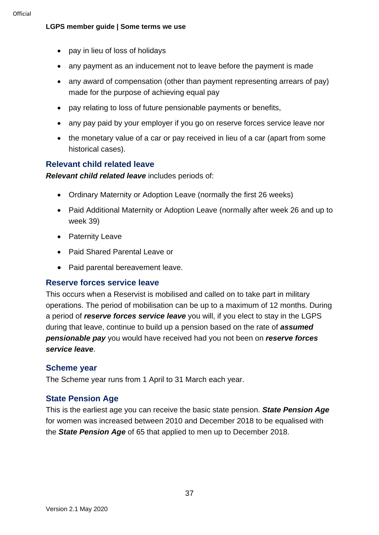- pay in lieu of loss of holidays
- any payment as an inducement not to leave before the payment is made
- any award of compensation (other than payment representing arrears of pay) made for the purpose of achieving equal pay
- pay relating to loss of future pensionable payments or benefits,
- any pay paid by your employer if you go on reserve forces service leave nor
- the monetary value of a car or pay received in lieu of a car (apart from some historical cases).

### **Relevant child related leave**

*Relevant child related leave* includes periods of:

- Ordinary Maternity or Adoption Leave (normally the first 26 weeks)
- Paid Additional Maternity or Adoption Leave (normally after week 26 and up to week 39)
- Paternity Leave
- Paid Shared Parental Leave or
- Paid parental bereavement leave.

#### **Reserve forces service leave**

This occurs when a Reservist is mobilised and called on to take part in military operations. The period of mobilisation can be up to a maximum of 12 months. During a period of *reserve forces service leave* you will, if you elect to stay in the LGPS during that leave, continue to build up a pension based on the rate of *assumed pensionable pay* you would have received had you not been on *reserve forces service leave*.

#### **Scheme year**

The Scheme year runs from 1 April to 31 March each year.

### **State Pension Age**

This is the earliest age you can receive the basic state pension. *State Pension Age* for women was increased between 2010 and December 2018 to be equalised with the *State Pension Age* of 65 that applied to men up to December 2018.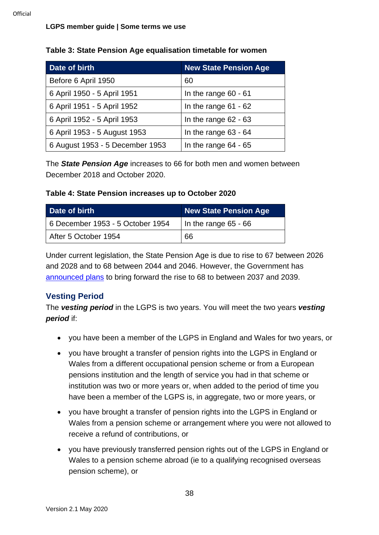| Date of birth                   | <b>New State Pension Age</b> |
|---------------------------------|------------------------------|
| Before 6 April 1950             | 60                           |
| 6 April 1950 - 5 April 1951     | In the range $60 - 61$       |
| 6 April 1951 - 5 April 1952     | In the range $61 - 62$       |
| 6 April 1952 - 5 April 1953     | In the range $62 - 63$       |
| 6 April 1953 - 5 August 1953    | In the range $63 - 64$       |
| 6 August 1953 - 5 December 1953 | In the range $64 - 65$       |

#### **Table 3: State Pension Age equalisation timetable for women**

The *State Pension Age* increases to 66 for both men and women between December 2018 and October 2020.

#### **Table 4: State Pension increases up to October 2020**

| Date of birth                    | <b>New State Pension Age</b> |
|----------------------------------|------------------------------|
| 6 December 1953 - 5 October 1954 | In the range $65 - 66$       |
| After 5 October 1954             | 66                           |

Under current legislation, the State Pension Age is due to rise to 67 between 2026 and 2028 and to 68 between 2044 and 2046. However, the Government has [announced plans](https://www.gov.uk/government/uploads/system/uploads/attachment_data/file/630065/state-pension-age-review-final-report.pdf) to bring forward the rise to 68 to between 2037 and 2039.

#### **Vesting Period**

The *vesting period* in the LGPS is two years. You will meet the two years *vesting period* if:

- you have been a member of the LGPS in England and Wales for two years, or
- you have brought a transfer of pension rights into the LGPS in England or Wales from a different occupational pension scheme or from a European pensions institution and the length of service you had in that scheme or institution was two or more years or, when added to the period of time you have been a member of the LGPS is, in aggregate, two or more years, or
- you have brought a transfer of pension rights into the LGPS in England or Wales from a pension scheme or arrangement where you were not allowed to receive a refund of contributions, or
- you have previously transferred pension rights out of the LGPS in England or Wales to a pension scheme abroad (ie to a qualifying recognised overseas pension scheme), or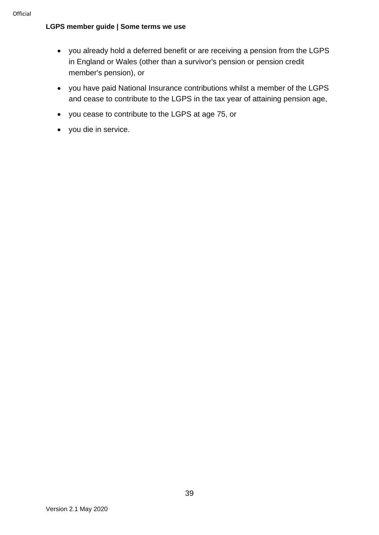- you already hold a deferred benefit or are receiving a pension from the LGPS in England or Wales (other than a survivor's pension or pension credit member's pension), or
- you have paid National Insurance contributions whilst a member of the LGPS and cease to contribute to the LGPS in the tax year of attaining pension age,
- you cease to contribute to the LGPS at age 75, or
- you die in service.